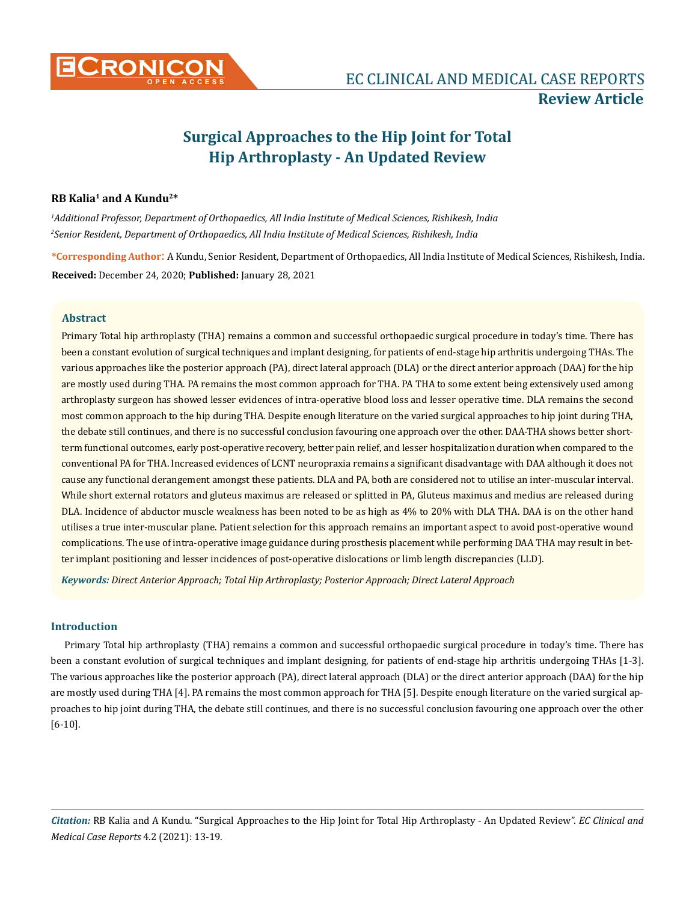

# **Surgical Approaches to the Hip Joint for Total Hip Arthroplasty - An Updated Review**

# **RB Kalia1 and A Kundu2\***

*1 Additional Professor, Department of Orthopaedics, All India Institute of Medical Sciences, Rishikesh, India 2 Senior Resident, Department of Orthopaedics, All India Institute of Medical Sciences, Rishikesh, India*

**\*Corresponding Author**: A Kundu, Senior Resident, Department of Orthopaedics, All India Institute of Medical Sciences, Rishikesh, India. **Received:** December 24, 2020; **Published:** January 28, 2021

# **Abstract**

Primary Total hip arthroplasty (THA) remains a common and successful orthopaedic surgical procedure in today's time. There has been a constant evolution of surgical techniques and implant designing, for patients of end-stage hip arthritis undergoing THAs. The various approaches like the posterior approach (PA), direct lateral approach (DLA) or the direct anterior approach (DAA) for the hip are mostly used during THA. PA remains the most common approach for THA. PA THA to some extent being extensively used among arthroplasty surgeon has showed lesser evidences of intra-operative blood loss and lesser operative time. DLA remains the second most common approach to the hip during THA. Despite enough literature on the varied surgical approaches to hip joint during THA, the debate still continues, and there is no successful conclusion favouring one approach over the other. DAA-THA shows better shortterm functional outcomes, early post-operative recovery, better pain relief, and lesser hospitalization duration when compared to the conventional PA for THA. Increased evidences of LCNT neuropraxia remains a significant disadvantage with DAA although it does not cause any functional derangement amongst these patients. DLA and PA, both are considered not to utilise an inter-muscular interval. While short external rotators and gluteus maximus are released or splitted in PA, Gluteus maximus and medius are released during DLA. Incidence of abductor muscle weakness has been noted to be as high as 4% to 20% with DLA THA. DAA is on the other hand utilises a true inter-muscular plane. Patient selection for this approach remains an important aspect to avoid post-operative wound complications. The use of intra-operative image guidance during prosthesis placement while performing DAA THA may result in better implant positioning and lesser incidences of post-operative dislocations or limb length discrepancies (LLD).

*Keywords: Direct Anterior Approach; Total Hip Arthroplasty; Posterior Approach; Direct Lateral Approach*

## **Introduction**

Primary Total hip arthroplasty (THA) remains a common and successful orthopaedic surgical procedure in today's time. There has been a constant evolution of surgical techniques and implant designing, for patients of end-stage hip arthritis undergoing THAs [1-3]. The various approaches like the posterior approach (PA), direct lateral approach (DLA) or the direct anterior approach (DAA) for the hip are mostly used during THA [4]. PA remains the most common approach for THA [5]. Despite enough literature on the varied surgical approaches to hip joint during THA, the debate still continues, and there is no successful conclusion favouring one approach over the other [6-10].

*Citation:* RB Kalia and A Kundu. "Surgical Approaches to the Hip Joint for Total Hip Arthroplasty - An Updated Review". *EC Clinical and Medical Case Reports* 4.2 (2021): 13-19.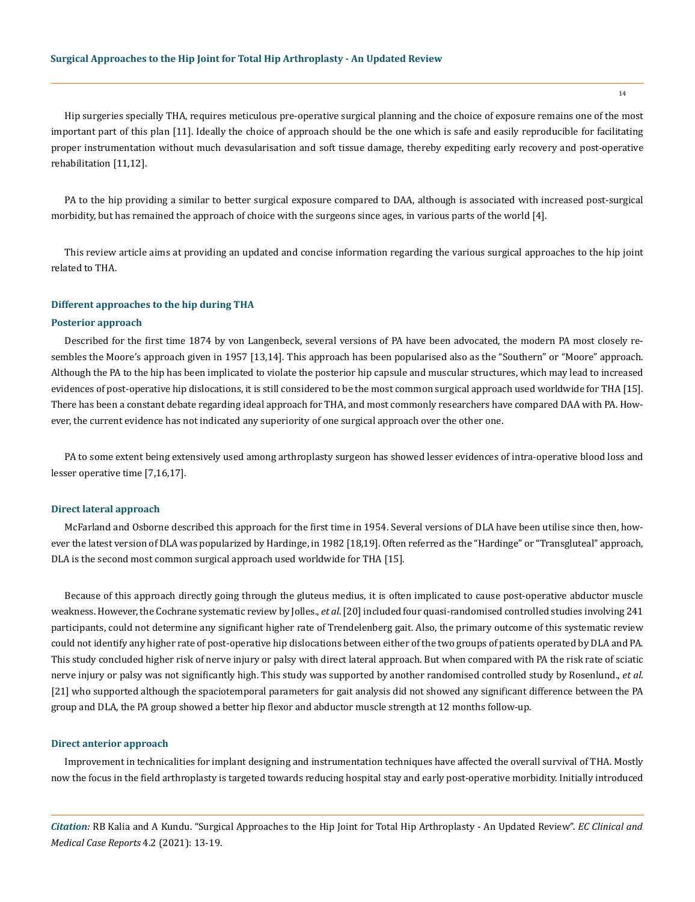Hip surgeries specially THA, requires meticulous pre-operative surgical planning and the choice of exposure remains one of the most important part of this plan [11]. Ideally the choice of approach should be the one which is safe and easily reproducible for facilitating proper instrumentation without much devasularisation and soft tissue damage, thereby expediting early recovery and post-operative rehabilitation [11,12].

PA to the hip providing a similar to better surgical exposure compared to DAA, although is associated with increased post-surgical morbidity, but has remained the approach of choice with the surgeons since ages, in various parts of the world [4].

This review article aims at providing an updated and concise information regarding the various surgical approaches to the hip joint related to THA.

## **Different approaches to the hip during THA**

## **Posterior approach**

Described for the first time 1874 by von Langenbeck, several versions of PA have been advocated, the modern PA most closely resembles the Moore's approach given in 1957 [13,14]. This approach has been popularised also as the "Southern" or "Moore" approach. Although the PA to the hip has been implicated to violate the posterior hip capsule and muscular structures, which may lead to increased evidences of post-operative hip dislocations, it is still considered to be the most common surgical approach used worldwide for THA [15]. There has been a constant debate regarding ideal approach for THA, and most commonly researchers have compared DAA with PA. However, the current evidence has not indicated any superiority of one surgical approach over the other one.

PA to some extent being extensively used among arthroplasty surgeon has showed lesser evidences of intra-operative blood loss and lesser operative time [7,16,17].

#### **Direct lateral approach**

McFarland and Osborne described this approach for the first time in 1954. Several versions of DLA have been utilise since then, however the latest version of DLA was popularized by Hardinge, in 1982 [18,19]. Often referred as the "Hardinge" or "Transgluteal" approach, DLA is the second most common surgical approach used worldwide for THA [15].

Because of this approach directly going through the gluteus medius, it is often implicated to cause post-operative abductor muscle weakness. However, the Cochrane systematic review by Jolles., *et al*. [20] included four quasi-randomised controlled studies involving 241 participants, could not determine any significant higher rate of Trendelenberg gait. Also, the primary outcome of this systematic review could not identify any higher rate of post-operative hip dislocations between either of the two groups of patients operated by DLA and PA. This study concluded higher risk of nerve injury or palsy with direct lateral approach. But when compared with PA the risk rate of sciatic nerve injury or palsy was not significantly high. This study was supported by another randomised controlled study by Rosenlund., *et al*. [21] who supported although the spaciotemporal parameters for gait analysis did not showed any significant difference between the PA group and DLA, the PA group showed a better hip flexor and abductor muscle strength at 12 months follow-up.

## **Direct anterior approach**

Improvement in technicalities for implant designing and instrumentation techniques have affected the overall survival of THA. Mostly now the focus in the field arthroplasty is targeted towards reducing hospital stay and early post-operative morbidity. Initially introduced

*Citation:* RB Kalia and A Kundu. "Surgical Approaches to the Hip Joint for Total Hip Arthroplasty - An Updated Review". *EC Clinical and Medical Case Reports* 4.2 (2021): 13-19.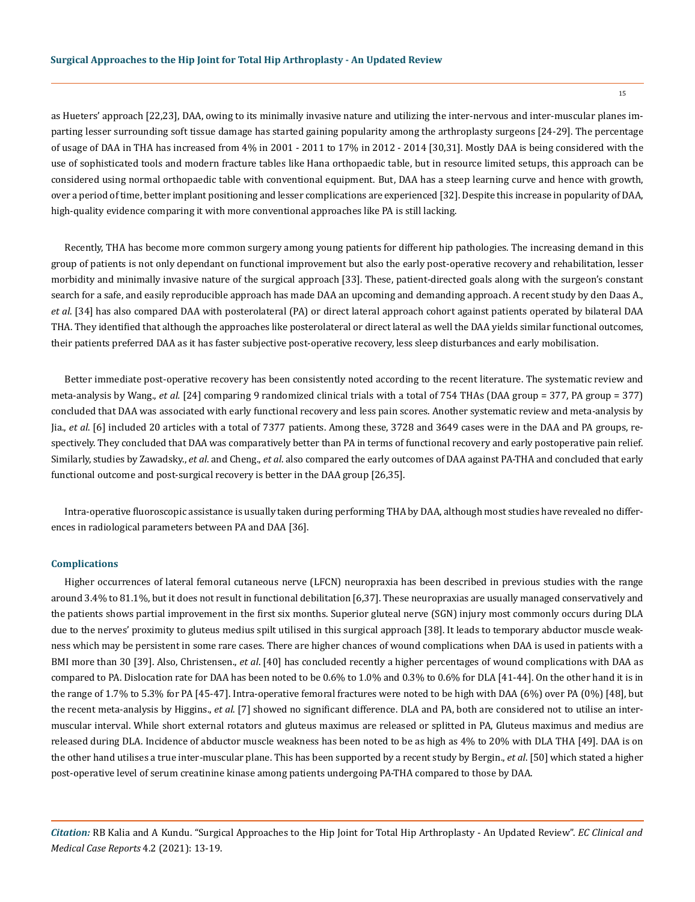as Hueters' approach [22,23], DAA, owing to its minimally invasive nature and utilizing the inter-nervous and inter-muscular planes imparting lesser surrounding soft tissue damage has started gaining popularity among the arthroplasty surgeons [24-29]. The percentage of usage of DAA in THA has increased from 4% in 2001 - 2011 to 17% in 2012 - 2014 [30,31]. Mostly DAA is being considered with the use of sophisticated tools and modern fracture tables like Hana orthopaedic table, but in resource limited setups, this approach can be considered using normal orthopaedic table with conventional equipment. But, DAA has a steep learning curve and hence with growth, over a period of time, better implant positioning and lesser complications are experienced [32]. Despite this increase in popularity of DAA, high-quality evidence comparing it with more conventional approaches like PA is still lacking.

Recently, THA has become more common surgery among young patients for different hip pathologies. The increasing demand in this group of patients is not only dependant on functional improvement but also the early post-operative recovery and rehabilitation, lesser morbidity and minimally invasive nature of the surgical approach [33]. These, patient-directed goals along with the surgeon's constant search for a safe, and easily reproducible approach has made DAA an upcoming and demanding approach. A recent study by den Daas A., *et al*. [34] has also compared DAA with posterolateral (PA) or direct lateral approach cohort against patients operated by bilateral DAA THA. They identified that although the approaches like posterolateral or direct lateral as well the DAA yields similar functional outcomes, their patients preferred DAA as it has faster subjective post-operative recovery, less sleep disturbances and early mobilisation.

Better immediate post-operative recovery has been consistently noted according to the recent literature. The systematic review and meta-analysis by Wang., *et al.* [24] comparing 9 randomized clinical trials with a total of 754 THAs (DAA group = 377, PA group = 377) concluded that DAA was associated with early functional recovery and less pain scores. Another systematic review and meta-analysis by Jia., *et al*. [6] included 20 articles with a total of 7377 patients. Among these, 3728 and 3649 cases were in the DAA and PA groups, respectively. They concluded that DAA was comparatively better than PA in terms of functional recovery and early postoperative pain relief. Similarly, studies by Zawadsky., *et al*. and Cheng., *et al*. also compared the early outcomes of DAA against PA-THA and concluded that early functional outcome and post-surgical recovery is better in the DAA group [26,35].

Intra-operative fluoroscopic assistance is usually taken during performing THA by DAA, although most studies have revealed no differences in radiological parameters between PA and DAA [36].

#### **Complications**

Higher occurrences of lateral femoral cutaneous nerve (LFCN) neuropraxia has been described in previous studies with the range around 3.4% to 81.1%, but it does not result in functional debilitation [6,37]. These neuropraxias are usually managed conservatively and the patients shows partial improvement in the first six months. Superior gluteal nerve (SGN) injury most commonly occurs during DLA due to the nerves' proximity to gluteus medius spilt utilised in this surgical approach [38]. It leads to temporary abductor muscle weakness which may be persistent in some rare cases. There are higher chances of wound complications when DAA is used in patients with a BMI more than 30 [39]. Also, Christensen., *et al*. [40] has concluded recently a higher percentages of wound complications with DAA as compared to PA. Dislocation rate for DAA has been noted to be 0.6% to 1.0% and 0.3% to 0.6% for DLA [41-44]. On the other hand it is in the range of 1.7% to 5.3% for PA [45-47]. Intra-operative femoral fractures were noted to be high with DAA (6%) over PA (0%) [48], but the recent meta-analysis by Higgins., *et al*. [7] showed no significant difference. DLA and PA, both are considered not to utilise an intermuscular interval. While short external rotators and gluteus maximus are released or splitted in PA, Gluteus maximus and medius are released during DLA. Incidence of abductor muscle weakness has been noted to be as high as 4% to 20% with DLA THA [49]. DAA is on the other hand utilises a true inter-muscular plane. This has been supported by a recent study by Bergin., *et al*. [50] which stated a higher post-operative level of serum creatinine kinase among patients undergoing PA-THA compared to those by DAA.

*Citation:* RB Kalia and A Kundu. "Surgical Approaches to the Hip Joint for Total Hip Arthroplasty - An Updated Review". *EC Clinical and Medical Case Reports* 4.2 (2021): 13-19.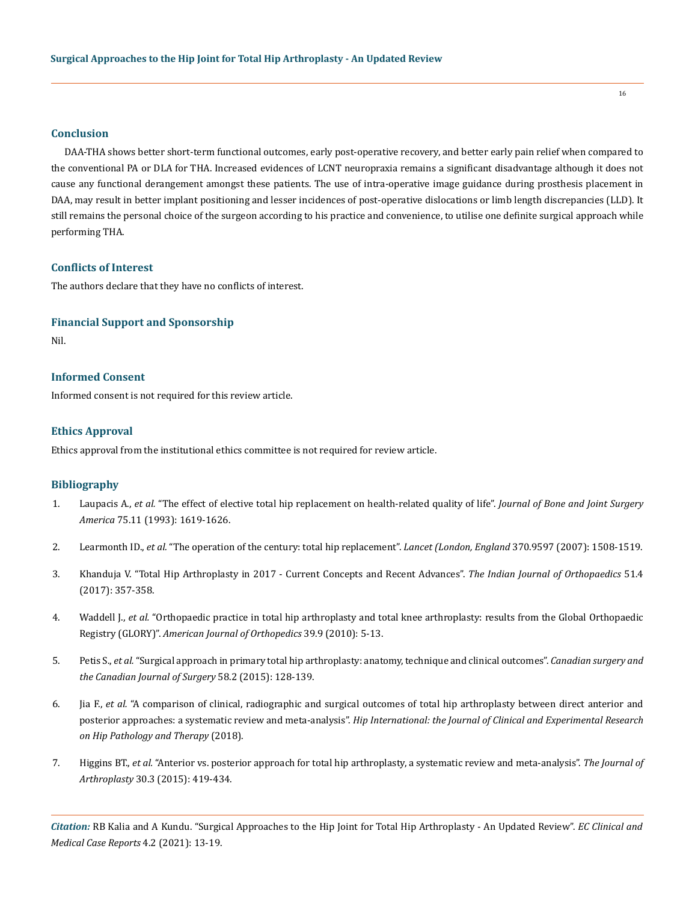# **Conclusion**

DAA-THA shows better short-term functional outcomes, early post-operative recovery, and better early pain relief when compared to the conventional PA or DLA for THA. Increased evidences of LCNT neuropraxia remains a significant disadvantage although it does not cause any functional derangement amongst these patients. The use of intra-operative image guidance during prosthesis placement in DAA, may result in better implant positioning and lesser incidences of post-operative dislocations or limb length discrepancies (LLD). It still remains the personal choice of the surgeon according to his practice and convenience, to utilise one definite surgical approach while performing THA.

## **Conflicts of Interest**

The authors declare that they have no conflicts of interest.

# **Financial Support and Sponsorship**

Nil.

# **Informed Consent**

Informed consent is not required for this review article.

## **Ethics Approval**

Ethics approval from the institutional ethics committee is not required for review article.

## **Bibliography**

- 1. Laupacis A., *et al.* ["The effect of elective total hip replacement on health-related quality of life".](https://pubmed.ncbi.nlm.nih.gov/8245054/) *Journal of Bone and Joint Surgery America* [75.11 \(1993\): 1619-1626.](https://pubmed.ncbi.nlm.nih.gov/8245054/)
- 2. Learmonth ID., *et al.* ["The operation of the century: total hip replacement".](https://pubmed.ncbi.nlm.nih.gov/17964352/) *Lancet (London, England* 370.9597 (2007): 1508-1519.
- 3. [Khanduja V. "Total Hip Arthroplasty in 2017 Current Concepts and Recent Advances".](https://pubmed.ncbi.nlm.nih.gov/28790463/) *The Indian Journal of Orthopaedics* 51.4 [\(2017\): 357-358.](https://pubmed.ncbi.nlm.nih.gov/28790463/)
- 4. Waddell J., *et al.* ["Orthopaedic practice in total hip arthroplasty and total knee arthroplasty: results from the Global Orthopaedic](https://pubmed.ncbi.nlm.nih.gov/21290026/)  Registry (GLORY)". *[American Journal of Orthopedics](https://pubmed.ncbi.nlm.nih.gov/21290026/)* 39.9 (2010): 5-13.
- 5. Petis S., *et al.* ["Surgical approach in primary total hip arthroplasty: anatomy, technique and clinical outcomes".](https://pubmed.ncbi.nlm.nih.gov/25799249/) *Canadian surgery and [the Canadian Journal of Surgery](https://pubmed.ncbi.nlm.nih.gov/25799249/)* 58.2 (2015): 128-139.
- 6. Jia F., *et al.* ["A comparison of clinical, radiographic and surgical outcomes of total hip arthroplasty between direct anterior and](https://pubmed.ncbi.nlm.nih.gov/30595060/)  posterior approaches: a systematic review and meta-analysis". *[Hip International: the Journal of Clinical and Experimental Research](https://pubmed.ncbi.nlm.nih.gov/30595060/)  [on Hip Pathology and Therapy](https://pubmed.ncbi.nlm.nih.gov/30595060/)* (2018).
- 7. Higgins BT., *et al.* ["Anterior vs. posterior approach for total hip arthroplasty, a systematic review and meta-analysis".](https://pubmed.ncbi.nlm.nih.gov/25453632/) *The Journal of Arthroplasty* [30.3 \(2015\): 419-434.](https://pubmed.ncbi.nlm.nih.gov/25453632/)

*Citation:* RB Kalia and A Kundu. "Surgical Approaches to the Hip Joint for Total Hip Arthroplasty - An Updated Review". *EC Clinical and Medical Case Reports* 4.2 (2021): 13-19.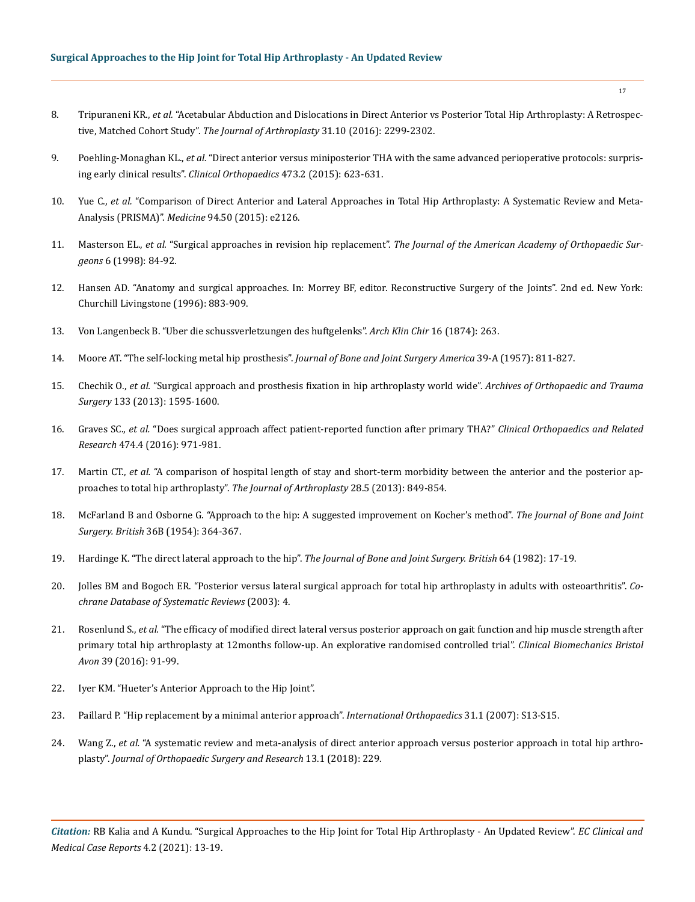- 8. Tripuraneni KR., *et al.* ["Acetabular Abduction and Dislocations in Direct Anterior vs Posterior Total Hip Arthroplasty: A Retrospec](https://pubmed.ncbi.nlm.nih.gov/27067169/)tive, Matched Cohort Study". *[The Journal of Arthroplasty](https://pubmed.ncbi.nlm.nih.gov/27067169/)* 31.10 (2016): 2299-2302.
- 9. Poehling-Monaghan KL., *et al.* ["Direct anterior versus miniposterior THA with the same advanced perioperative protocols: surpris](https://www.ncbi.nlm.nih.gov/pmc/articles/PMC4294903/)[ing early clinical results".](https://www.ncbi.nlm.nih.gov/pmc/articles/PMC4294903/) *Clinical Orthopaedics* 473.2 (2015): 623-631.
- 10. Yue C., *et al.* ["Comparison of Direct Anterior and Lateral Approaches in Total Hip Arthroplasty: A Systematic Review and Meta-](https://pubmed.ncbi.nlm.nih.gov/26683920/)Analysis (PRISMA)". *Medicine* [94.50 \(2015\): e2126.](https://pubmed.ncbi.nlm.nih.gov/26683920/)
- 11. Masterson EL., *et al.* "Surgical approaches in revision hip replacement". *[The Journal of the American Academy of Orthopaedic Sur](https://pubmed.ncbi.nlm.nih.gov/9682070/)geons* [6 \(1998\): 84-92.](https://pubmed.ncbi.nlm.nih.gov/9682070/)
- 12. Hansen AD. "Anatomy and surgical approaches. In: Morrey BF, editor. Reconstructive Surgery of the Joints". 2nd ed. New York: Churchill Livingstone (1996): 883-909.
- 13. Von Langenbeck B. "Uber die schussverletzungen des huftgelenks". *Arch Klin Chir* 16 (1874): 263.
- 14. [Moore AT. "The self-locking metal hip prosthesis".](https://pubmed.ncbi.nlm.nih.gov/13438939/) *Journal of Bone and Joint Surgery America* 39-A (1957): 811-827.
- 15. Chechik O., *et al.* ["Surgical approach and prosthesis fixation in hip arthroplasty world wide".](https://pubmed.ncbi.nlm.nih.gov/23912418/) *Archives of Orthopaedic and Trauma Surgery* [133 \(2013\): 1595-1600.](https://pubmed.ncbi.nlm.nih.gov/23912418/)
- 16. Graves SC., *et al.* ["Does surgical approach affect patient-reported function after primary THA?"](https://pubmed.ncbi.nlm.nih.gov/26620966/) *Clinical Orthopaedics and Related Research* [474.4 \(2016\): 971-981.](https://pubmed.ncbi.nlm.nih.gov/26620966/)
- 17. Martin CT., *et al.* ["A comparison of hospital length of stay and short-term morbidity between the anterior and the posterior ap](https://experts.umn.edu/en/publications/a-comparison-of-hospital-length-of-stay-and-short-term-morbidity-)[proaches to total hip arthroplasty".](https://experts.umn.edu/en/publications/a-comparison-of-hospital-length-of-stay-and-short-term-morbidity-) *The Journal of Arthroplasty* 28.5 (2013): 849-854.
- 18. [McFarland B and Osborne G. "Approach to the hip: A suggested improvement on Kocher's method".](https://www.ncbi.nlm.nih.gov/pmc/articles/PMC4160668/) *The Journal of Bone and Joint Surgery. British* [36B \(1954\): 364-367.](https://www.ncbi.nlm.nih.gov/pmc/articles/PMC4160668/)
- 19. [Hardinge K. "The direct lateral approach to the hip".](https://www.orthobullets.com/approaches/12022/hip-direct-lateral-approach-hardinge-transgluteal) *The Journal of Bone and Joint Surgery. British* 64 (1982): 17-19.
- 20. [Jolles BM and Bogoch ER. "Posterior versus lateral surgical approach for total hip arthroplasty in adults with osteoarthritis".](https://www.cochranelibrary.com/cdsr/doi/10.1002/14651858.CD003828.pub3/full) *Co[chrane Database of Systematic Reviews](https://www.cochranelibrary.com/cdsr/doi/10.1002/14651858.CD003828.pub3/full)* (2003): 4.
- 21. Rosenlund S., *et al.* ["The efficacy of modified direct lateral versus posterior approach on gait function and hip muscle strength after](https://pubmed.ncbi.nlm.nih.gov/27721093/)  [primary total hip arthroplasty at 12months follow-up. An explorative randomised controlled trial".](https://pubmed.ncbi.nlm.nih.gov/27721093/) *Clinical Biomechanics Bristol Avon* [39 \(2016\): 91-99.](https://pubmed.ncbi.nlm.nih.gov/27721093/)
- 22. Iyer KM. "Hueter's Anterior Approach to the Hip Joint".
- 23. [Paillard P. "Hip replacement by a minimal anterior approach".](https://pubmed.ncbi.nlm.nih.gov/17657491/) *International Orthopaedics* 31.1 (2007): S13-S15.
- 24. Wang Z., *et al.* ["A systematic review and meta-analysis of direct anterior approach versus posterior approach in total hip arthro](https://pubmed.ncbi.nlm.nih.gov/30189881/)plasty". *[Journal of Orthopaedic Surgery and Research](https://pubmed.ncbi.nlm.nih.gov/30189881/)* 13.1 (2018): 229.

*Citation:* RB Kalia and A Kundu. "Surgical Approaches to the Hip Joint for Total Hip Arthroplasty - An Updated Review". *EC Clinical and Medical Case Reports* 4.2 (2021): 13-19.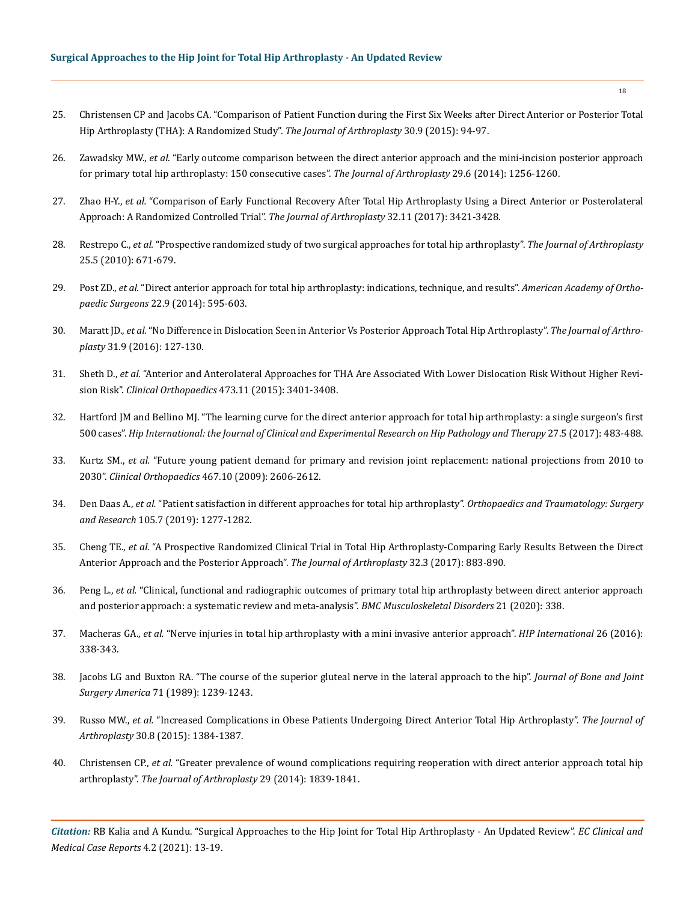- 25. [Christensen CP and Jacobs CA. "Comparison of Patient Function during the First Six Weeks after Direct Anterior or Posterior Total](https://pubmed.ncbi.nlm.nih.gov/26096071/)  [Hip Arthroplasty \(THA\): A Randomized Study".](https://pubmed.ncbi.nlm.nih.gov/26096071/) *The Journal of Arthroplasty* 30.9 (2015): 94-97.
- 26. Zawadsky MW., *et al.* ["Early outcome comparison between the direct anterior approach and the mini-incision posterior approach](https://pubmed.ncbi.nlm.nih.gov/24405626/)  [for primary total hip arthroplasty: 150 consecutive cases".](https://pubmed.ncbi.nlm.nih.gov/24405626/) *The Journal of Arthroplasty* 29.6 (2014): 1256-1260.
- 27. Zhao H-Y., *et al.* ["Comparison of Early Functional Recovery After Total Hip Arthroplasty Using a Direct Anterior or Posterolateral](https://www.arthroplastyjournal.org/article/S0883-5403(17)30496-5/abstract)  [Approach: A Randomized Controlled Trial".](https://www.arthroplastyjournal.org/article/S0883-5403(17)30496-5/abstract) *The Journal of Arthroplasty* 32.11 (2017): 3421-3428.
- 28. Restrepo C., *et al.* ["Prospective randomized study of two surgical approaches for total hip arthroplasty".](https://pubmed.ncbi.nlm.nih.gov/20378307/) *The Journal of Arthroplasty*  [25.5 \(2010\): 671-679.](https://pubmed.ncbi.nlm.nih.gov/20378307/)
- 29. Post ZD., *et al.* ["Direct anterior approach for total hip arthroplasty: indications, technique, and results".](https://pubmed.ncbi.nlm.nih.gov/25157041/) *American Academy of Orthopaedic Surgeons* [22.9 \(2014\): 595-603.](https://pubmed.ncbi.nlm.nih.gov/25157041/)
- 30. Maratt JD., *et al.* ["No Difference in Dislocation Seen in Anterior Vs Posterior Approach Total Hip Arthroplasty".](https://pubmed.ncbi.nlm.nih.gov/27067754/) *The Journal of Arthroplasty* [31.9 \(2016\): 127-130.](https://pubmed.ncbi.nlm.nih.gov/27067754/)
- 31. Sheth D., *et al.* ["Anterior and Anterolateral Approaches for THA Are Associated With Lower Dislocation Risk Without Higher Revi](https://www.ncbi.nlm.nih.gov/pmc/articles/PMC4586236/)sion Risk". *Clinical Orthopaedics* [473.11 \(2015\): 3401-3408.](https://www.ncbi.nlm.nih.gov/pmc/articles/PMC4586236/)
- 32. [Hartford JM and Bellino MJ. "The learning curve for the direct anterior approach for total hip arthroplasty: a single surgeon's first](https://pubmed.ncbi.nlm.nih.gov/28222211/)  500 cases". *[Hip International: the Journal of Clinical and Experimental Research on Hip Pathology and Therapy](https://pubmed.ncbi.nlm.nih.gov/28222211/)* 27.5 (2017): 483-488.
- 33. Kurtz SM., *et al.* ["Future young patient demand for primary and revision joint replacement: national projections from 2010 to](https://pubmed.ncbi.nlm.nih.gov/19360453/)  2030". *Clinical Orthopaedics* [467.10 \(2009\): 2606-2612.](https://pubmed.ncbi.nlm.nih.gov/19360453/)
- 34. Den Daas A., *et al.* ["Patient satisfaction in different approaches for total hip arthroplasty".](https://pubmed.ncbi.nlm.nih.gov/31624034/) *Orthopaedics and Traumatology: Surgery and Research* [105.7 \(2019\): 1277-1282.](https://pubmed.ncbi.nlm.nih.gov/31624034/)
- 35. Cheng TE., *et al.* ["A Prospective Randomized Clinical Trial in Total Hip Arthroplasty-Comparing Early Results Between the Direct](https://www.arthroplastyjournal.org/article/S0883-5403(16)30574-5/abstract)  [Anterior Approach and the Posterior Approach".](https://www.arthroplastyjournal.org/article/S0883-5403(16)30574-5/abstract) *The Journal of Arthroplasty* 32.3 (2017): 883-890.
- 36. Peng L., *et al.* ["Clinical, functional and radiographic outcomes of primary total hip arthroplasty between direct anterior approach](https://bmcmusculoskeletdisord.biomedcentral.com/articles/10.1186/s12891-020-03318-x)  [and posterior approach: a systematic review and meta-analysis".](https://bmcmusculoskeletdisord.biomedcentral.com/articles/10.1186/s12891-020-03318-x) *BMC Musculoskeletal Disorders* 21 (2020): 338.
- 37. Macheras GA., *et al.* ["Nerve injuries in total hip arthroplasty with a mini invasive anterior approach".](https://pubmed.ncbi.nlm.nih.gov/27079284/) *HIP International* 26 (2016): [338-343.](https://pubmed.ncbi.nlm.nih.gov/27079284/)
- 38. [Jacobs LG and Buxton RA. "The course of the superior gluteal nerve in the lateral approach to the hip".](https://pubmed.ncbi.nlm.nih.gov/2777853/) *Journal of Bone and Joint Surgery America* [71 \(1989\): 1239-1243.](https://pubmed.ncbi.nlm.nih.gov/2777853/)
- 39. Russo MW., *et al.* ["Increased Complications in Obese Patients Undergoing Direct Anterior Total Hip Arthroplasty".](https://www.arthroplastyjournal.org/article/S0883-5403(15)00171-0/abstract) *The Journal of Arthroplasty* [30.8 \(2015\): 1384-1387.](https://www.arthroplastyjournal.org/article/S0883-5403(15)00171-0/abstract)
- 40. Christensen CP., *et al.* ["Greater prevalence of wound complications requiring reoperation with direct anterior approach total hip](https://www.arthroplastyjournal.org/article/S0883-5403(14)00294-0/abstract)  arthroplasty". *[The Journal of Arthroplasty](https://www.arthroplastyjournal.org/article/S0883-5403(14)00294-0/abstract)* 29 (2014): 1839-1841.

*Citation:* RB Kalia and A Kundu. "Surgical Approaches to the Hip Joint for Total Hip Arthroplasty - An Updated Review". *EC Clinical and Medical Case Reports* 4.2 (2021): 13-19.